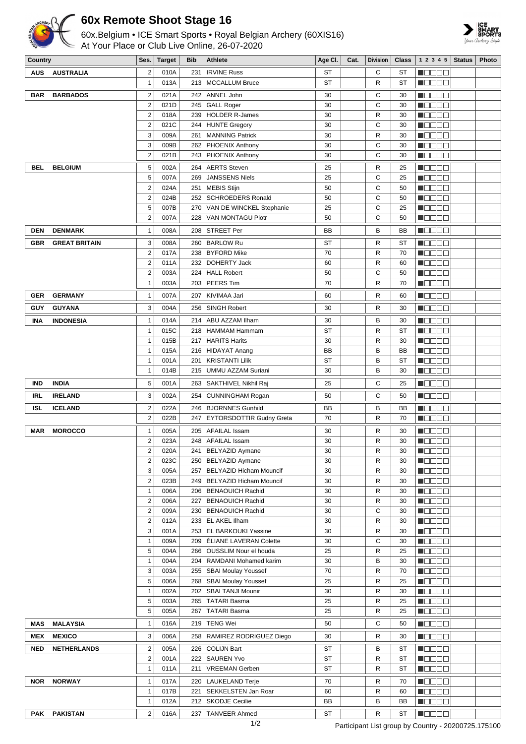

## **60x Remote Shoot Stage 16**

60x.Belgium • ICE Smart Sports • Royal Belgian Archery (60XIS16) At Your Place or Club Live Online, 26-07-2020



| Country    |                      | Ses.                         | Target       | Bib        | <b>Athlete</b>                                         | Age Cl.   | Cat. | <b>Division</b>   | <b>Class</b>    | $1\ 2\ 3\ 4\ 5$ Status                       | <b>Photo</b> |
|------------|----------------------|------------------------------|--------------|------------|--------------------------------------------------------|-----------|------|-------------------|-----------------|----------------------------------------------|--------------|
| <b>AUS</b> | <b>AUSTRALIA</b>     | $\overline{2}$               | 010A         | 231        | <b>IRVINE Russ</b>                                     | <b>ST</b> |      | C                 | ST              | Maaaa                                        |              |
|            |                      | $\mathbf{1}$                 | 013A         | 213        | <b>MCCALLUM Bruce</b>                                  | ST        |      | R                 | <b>ST</b>       | <b>M</b> OOOC                                |              |
| <b>BAR</b> | <b>BARBADOS</b>      | $\overline{\mathbf{c}}$      | 021A         |            | 242   ANNEL John                                       | 30        |      | C                 | 30              | M O O O O                                    |              |
|            |                      | $\overline{2}$               | 021D         |            | 245   GALL Roger                                       | 30        |      | C                 | 30              | HOOOC                                        |              |
|            |                      | $\overline{2}$               | 018A         |            | 239   HOLDER R-James                                   | 30        |      | R                 | 30              | N O D O O                                    |              |
|            |                      | $\overline{\mathbf{c}}$      | 021C         | 244        | HUNTE Gregory                                          | 30        |      | C                 | 30              | N B B B B                                    |              |
|            |                      | 3                            | 009A         | 261        | <b>MANNING Patrick</b>                                 | 30        |      | $\mathsf{R}$      | 30              | M O O O O                                    |              |
|            |                      | 3<br>$\overline{2}$          | 009B<br>021B | 262<br>243 | <b>PHOENIX Anthony</b><br>PHOENIX Anthony              | 30<br>30  |      | C<br>C            | 30<br>30        | NOOOO<br><b>Mana</b> o                       |              |
|            |                      |                              |              |            |                                                        |           |      |                   |                 |                                              |              |
| BEL        | <b>BELGIUM</b>       | 5<br>5                       | 002A         | 264<br>269 | <b>AERTS</b> Steven<br><b>JANSSENS Niels</b>           | 25        |      | $\mathsf{R}$<br>C | 25              | <b>M</b> OOOO<br>$\blacksquare$              |              |
|            |                      | $\overline{2}$               | 007A<br>024A | 251        | <b>MEBIS Stijn</b>                                     | 25<br>50  |      | C                 | 25<br>50        | <b>M</b> OOOO                                |              |
|            |                      | $\overline{\mathbf{c}}$      | 024B         | 252        | <b>SCHROEDERS Ronald</b>                               | 50        |      | C                 | 50              | Maaaa                                        |              |
|            |                      | 5                            | 007B         | 270        | VAN DE WINCKEL Stephanie                               | 25        |      | C                 | 25              | N O O O O                                    |              |
|            |                      | $\overline{\mathbf{c}}$      | 007A         | 228        | VAN MONTAGU Piotr                                      | 50        |      | C                 | 50              | M O D O L                                    |              |
| <b>DEN</b> | <b>DENMARK</b>       | $\mathbf{1}$                 | 008A         | 208        | <b>STREET Per</b>                                      | ВB        |      | B                 | BB              | <b>M</b> OOOO                                |              |
| GBR        | <b>GREAT BRITAIN</b> | 3                            | 008A         | 260        | <b>BARLOW Ru</b>                                       | ST        |      | R                 | ST              | n oo oo                                      |              |
|            |                      | $\overline{2}$               | 017A         | 238        | <b>BYFORD Mike</b>                                     | 70        |      | R                 | 70              | N O O O O                                    |              |
|            |                      | $\overline{\mathbf{c}}$      | 011A         | 232        | DOHERTY Jack                                           | 60        |      | R                 | 60              | <u>L BBBC</u>                                |              |
|            |                      | $\overline{c}$               | 003A         | 224        | <b>HALL Robert</b>                                     | 50        |      | C                 | 50              | M B B B B                                    |              |
|            |                      | $\mathbf{1}$                 | 003A         | 203        | PEERS Tim                                              | 70        |      | R                 | 70              | HOOOO                                        |              |
| GER        | <b>GERMANY</b>       | $\mathbf{1}$                 | 007A         | 207        | KIVIMAA Jari                                           | 60        |      | $\mathsf{R}$      | 60              | <u> Nasar</u>                                |              |
|            |                      | 3                            |              |            |                                                        |           |      |                   |                 |                                              |              |
| GUY        | <b>GUYANA</b>        |                              | 004A         | 256        | <b>SINGH Robert</b>                                    | 30        |      | R                 | 30              | <b>M</b> OOOO                                |              |
| INA        | <b>INDONESIA</b>     | $\mathbf{1}$                 | 014A         | 214        | ABU AZZAM Ilham                                        | 30        |      | B                 | 30              | n oo oo                                      |              |
|            |                      | $\mathbf{1}$                 | 015C         | 218        | <b>HAMMAM Hammam</b>                                   | <b>ST</b> |      | R                 | <b>ST</b>       | N BE BE                                      |              |
|            |                      | 1<br>1                       | 015B<br>015A | 217<br>216 | <b>HARITS Harits</b><br><b>HIDAYAT Anang</b>           | 30<br>BB  |      | R<br>B            | 30<br><b>BB</b> | Maaaa<br>N O O O O                           |              |
|            |                      | 1                            | 001A         | 201        | <b>KRISTANTI Lilik</b>                                 | ST        |      | B                 | <b>ST</b>       | N DE DE                                      |              |
|            |                      | 1                            | 014B         | 215        | UMMU AZZAM Suriani                                     | 30        |      | B                 | 30              | M O B B B                                    |              |
| <b>IND</b> | <b>INDIA</b>         | 5                            | 001A         | 263        | SAKTHIVEL Nikhil Raj                                   | 25        |      | С                 | 25              | N DE SE                                      |              |
|            |                      |                              |              |            |                                                        |           |      |                   |                 |                                              |              |
| IRL        | <b>IRELAND</b>       | 3                            | 002A         | 254        | <b>CUNNINGHAM Rogan</b>                                | 50        |      | C                 | 50              | <b>M</b> OOOO                                |              |
| <b>ISL</b> | <b>ICELAND</b>       | $\overline{\mathbf{c}}$      | 022A         |            | 246   BJORNNES Gunhild                                 | BB        |      | B                 | BB              | N E E E E                                    |              |
|            |                      | $\overline{c}$               | 022B         | 247        | <b>EYTORSDOTTIR Gudny Greta</b>                        | 70        |      | R                 | 70              | N O D O O                                    |              |
| <b>MAR</b> | <b>MOROCCO</b>       | 1                            | 005A         | 205        | <b>AFAILAL Issam</b>                                   | 30        |      | R                 | 30              | N E E E E                                    |              |
|            |                      | $\overline{2}$               | 023A         |            | 248   AFAILAL Issam                                    | 30        |      | R                 | 30              | <b>Maaan</b>                                 |              |
|            |                      | $\overline{2}$               | 020A         |            | 241   BELYAZID Aymane                                  | 30        |      | R                 | 30              | <b>Maaaa</b>                                 |              |
|            |                      | $\overline{\mathbf{c}}$<br>3 | 023C<br>005A |            | 250   BELYAZID Aymane<br>257   BELYAZID Hicham Mouncif | 30<br>30  |      | R<br>R            | 30<br>30        | M O O O O<br>N O O O O                       |              |
|            |                      | $\overline{2}$               | 023B         |            | 249   BELYAZID Hicham Mouncif                          | 30        |      | R                 | 30              | N BE BE                                      |              |
|            |                      | 1                            | 006A         |            | 206   BENAOUICH Rachid                                 | 30        |      | R                 | 30              | <b>MODOO</b>                                 |              |
|            |                      | $\overline{\mathbf{c}}$      | 006A         |            | 227   BENAOUICH Rachid                                 | 30        |      | R                 | 30              | M O O O O                                    |              |
|            |                      | $\overline{2}$               | 009A         |            | 230   BENAOUICH Rachid                                 | 30        |      | C                 | 30              | <b>MODOO</b>                                 |              |
|            |                      | $\overline{c}$               | 012A         |            | 233   EL AKEL Ilham                                    | 30        |      | R                 | 30              | $\blacksquare$ $\square$ $\square$ $\square$ |              |
|            |                      | 3                            | 001A         |            | 253   EL BARKOUKI Yassine                              | 30        |      | R                 | 30              | N DE BE                                      |              |
|            |                      | 1                            | 009A         |            | 209   ÉLIANE LAVERAN Colette                           | 30        |      | С                 | 30              | M O O O O                                    |              |
|            |                      | 5                            | 004A         |            | 266   OUSSLIM Nour el houda                            | 25        |      | R                 | 25              | <b>MODOO</b>                                 |              |
|            |                      | 1                            | 004A         |            | 204   RAMDANI Mohamed karim                            | 30        |      | B                 | 30              | N EIS EIS                                    |              |
|            |                      | 3                            | 003A         | 255        | <b>SBAI Moulay Youssef</b>                             | 70        |      | R                 | 70              | N DE BE                                      |              |
|            |                      | 5                            | 006A         |            | 268   SBAI Moulay Youssef                              | 25        |      | R                 | 25              | M O O O O                                    |              |
|            |                      | 1                            | 002A         | 202        | <b>SBAI TANJI Mounir</b>                               | 30        |      | R                 | 30              | N O D O O                                    |              |
|            |                      | 5<br>5                       | 003A         | 267        | 265   TATARI Basma<br><b>TATARI Basma</b>              | 25<br>25  |      | R<br>R            | 25<br>25        | N EIS EIS                                    |              |
|            |                      |                              | 005A         |            |                                                        |           |      |                   |                 | M OD O O                                     |              |
| MAS        | <b>MALAYSIA</b>      | $\mathbf{1}$                 | 016A         |            | 219   TENG Wei                                         | 50        |      | C                 | 50              | $\blacksquare$                               |              |
| MEX        | <b>MEXICO</b>        | 3                            | 006A         |            | 258   RAMIREZ RODRIGUEZ Diego                          | 30        |      | R                 | 30              | <b>MODOO</b>                                 |              |
| <b>NED</b> | <b>NETHERLANDS</b>   | $\overline{c}$               | 005A         | 226        | <b>COLIJN Bart</b>                                     | ST        |      | B                 | ST              | N OO OO                                      |              |
|            |                      | $\overline{c}$               | 001A         | 222        | <b>SAUREN Yvo</b>                                      | ST        |      | R                 | ST              | N O D O O                                    |              |
|            |                      | 1                            | 011A         | 211        | <b>VREEMAN Gerben</b>                                  | ST        |      | R                 | ST              | M O B B B                                    |              |
| <b>NOR</b> | <b>NORWAY</b>        | 1                            | 017A         |            | 220   LAUKELAND Terje                                  | 70        |      | R                 | 70              | $\blacksquare$                               |              |
|            |                      | 1                            | 017B         | 221        | SEKKELSTEN Jan Roar                                    | 60        |      | R                 | 60              | M O D O D                                    |              |
|            |                      | 1                            | 012A         |            | 212   SKODJE Cecilie                                   | BB        |      | B                 | BB              | M O O O O                                    |              |
| PAK        | <b>PAKISTAN</b>      | $\mathbf{2}^{\prime}$        | 016A         |            | 237 TANVEER Ahmed                                      | <b>ST</b> |      | R                 | <b>ST</b>       | <b>NOBBE</b>                                 |              |